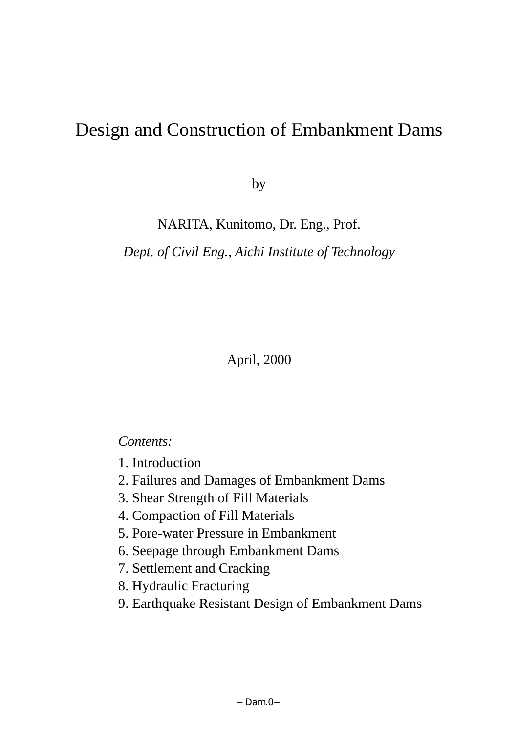# Design and Construction of Embankment Dams

by

NARITA, Kunitomo, Dr. Eng., Prof.

*Dept. of Civil Eng., Aichi Institute of Technology* 

April, 2000

# *Contents:*

- 1. Introduction
- 2. Failures and Damages of Embankment Dams
- 3. Shear Strength of Fill Materials
- 4. Compaction of Fill Materials
- 5. Pore-water Pressure in Embankment
- 6. Seepage through Embankment Dams
- 7. Settlement and Cracking
- 8. Hydraulic Fracturing
- 9. Earthquake Resistant Design of Embankment Dams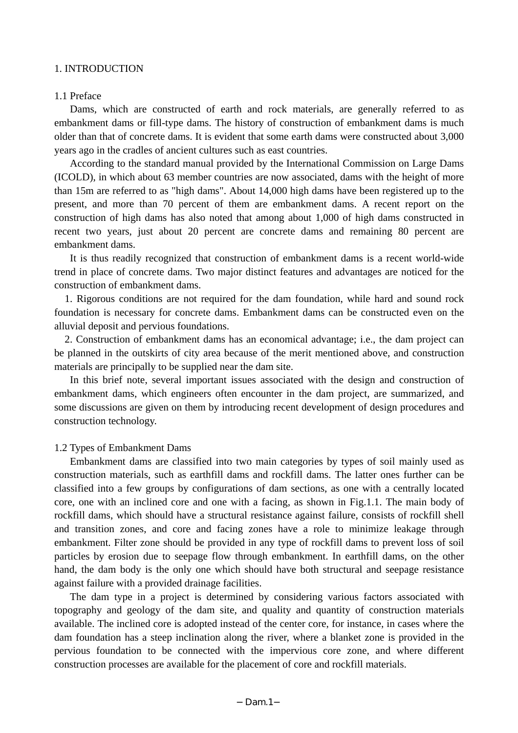# 1. INTRODUCTION

#### 1.1 Preface

Dams, which are constructed of earth and rock materials, are generally referred to as embankment dams or fill-type dams. The history of construction of embankment dams is much older than that of concrete dams. It is evident that some earth dams were constructed about 3,000 years ago in the cradles of ancient cultures such as east countries.

 According to the standard manual provided by the International Commission on Large Dams (ICOLD), in which about 63 member countries are now associated, dams with the height of more than 15m are referred to as "high dams". About 14,000 high dams have been registered up to the present, and more than 70 percent of them are embankment dams. A recent report on the construction of high dams has also noted that among about 1,000 of high dams constructed in recent two years, just about 20 percent are concrete dams and remaining 80 percent are embankment dams.

It is thus readily recognized that construction of embankment dams is a recent world-wide trend in place of concrete dams. Two major distinct features and advantages are noticed for the construction of embankment dams.

1. Rigorous conditions are not required for the dam foundation, while hard and sound rock foundation is necessary for concrete dams. Embankment dams can be constructed even on the alluvial deposit and pervious foundations.

2. Construction of embankment dams has an economical advantage; i.e., the dam project can be planned in the outskirts of city area because of the merit mentioned above, and construction materials are principally to be supplied near the dam site.

 In this brief note, several important issues associated with the design and construction of embankment dams, which engineers often encounter in the dam project, are summarized, and some discussions are given on them by introducing recent development of design procedures and construction technology.

# 1.2 Types of Embankment Dams

Embankment dams are classified into two main categories by types of soil mainly used as construction materials, such as earthfill dams and rockfill dams. The latter ones further can be classified into a few groups by configurations of dam sections, as one with a centrally located core, one with an inclined core and one with a facing, as shown in Fig.1.1. The main body of rockfill dams, which should have a structural resistance against failure, consists of rockfill shell and transition zones, and core and facing zones have a role to minimize leakage through embankment. Filter zone should be provided in any type of rockfill dams to prevent loss of soil particles by erosion due to seepage flow through embankment. In earthfill dams, on the other hand, the dam body is the only one which should have both structural and seepage resistance against failure with a provided drainage facilities.

The dam type in a project is determined by considering various factors associated with topography and geology of the dam site, and quality and quantity of construction materials available. The inclined core is adopted instead of the center core, for instance, in cases where the dam foundation has a steep inclination along the river, where a blanket zone is provided in the pervious foundation to be connected with the impervious core zone, and where different construction processes are available for the placement of core and rockfill materials.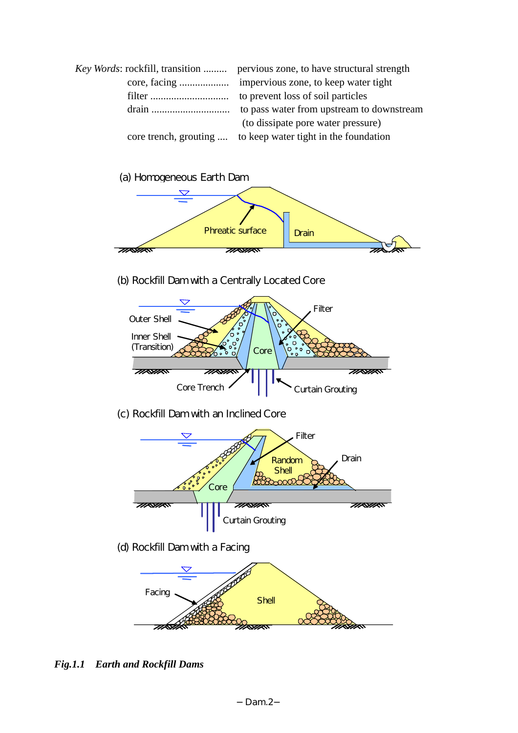| Key Words: rockfill, transition  pervious zone, to have structural strength |
|-----------------------------------------------------------------------------|
|                                                                             |
|                                                                             |
|                                                                             |
| (to dissipate pore water pressure)                                          |
| core trench, grouting  to keep water tight in the foundation                |
|                                                                             |



(b) Rockfill Dam with a Centrally Located Core



(c) Rockfill Dam with an Inclined Core



(d) Rockfill Dam with a Facing



*Fig.1.1 Earth and Rockfill Dams*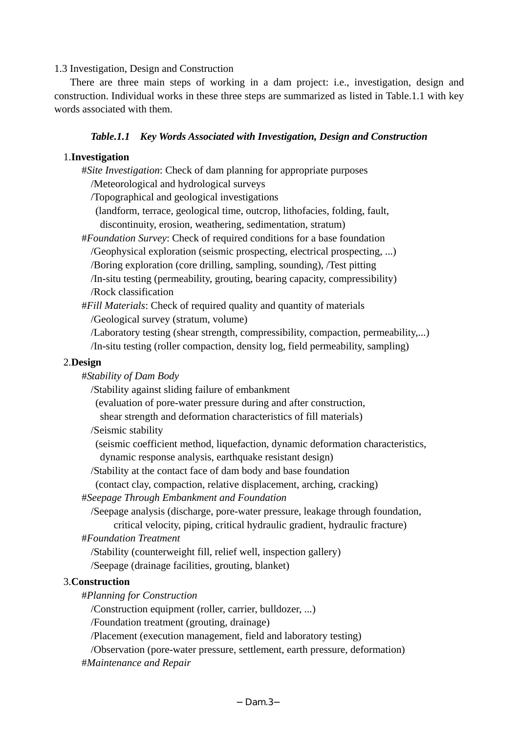# 1.3 Investigation, Design and Construction

 There are three main steps of working in a dam project: i.e., investigation, design and construction. Individual works in these three steps are summarized as listed in Table.1.1 with key words associated with them.

# *Table.1.1 Key Words Associated with Investigation, Design and Construction*

# 1.**Investigation**

- #*Site Investigation*: Check of dam planning for appropriate purposes
	- /Meteorological and hydrological surveys
	- /Topographical and geological investigations
	- (landform, terrace, geological time, outcrop, lithofacies, folding, fault, discontinuity, erosion, weathering, sedimentation, stratum)
- #*Foundation Survey*: Check of required conditions for a base foundation /Geophysical exploration (seismic prospecting, electrical prospecting, ...) /Boring exploration (core drilling, sampling, sounding), /Test pitting /In-situ testing (permeability, grouting, bearing capacity, compressibility)
	- /Rock classification
- #*Fill Materials*: Check of required quality and quantity of materials /Geological survey (stratum, volume)
	- /Laboratory testing (shear strength, compressibility, compaction, permeability,...)
	- /In-situ testing (roller compaction, density log, field permeability, sampling)

# 2.**Design**

- #*Stability of Dam Body*
	- /Stability against sliding failure of embankment
	- (evaluation of pore-water pressure during and after construction,
	- shear strength and deformation characteristics of fill materials)
	- /Seismic stability
	- (seismic coefficient method, liquefaction, dynamic deformation characteristics, dynamic response analysis, earthquake resistant design)
	- /Stability at the contact face of dam body and base foundation
	- (contact clay, compaction, relative displacement, arching, cracking)
- #*Seepage Through Embankment and Foundation*
	- /Seepage analysis (discharge, pore-water pressure, leakage through foundation,
		- critical velocity, piping, critical hydraulic gradient, hydraulic fracture)
- #*Foundation Treatment*
	- /Stability (counterweight fill, relief well, inspection gallery)
	- /Seepage (drainage facilities, grouting, blanket)

# 3.**Construction**

#*Planning for Construction*

/Construction equipment (roller, carrier, bulldozer, ...)

/Foundation treatment (grouting, drainage)

/Placement (execution management, field and laboratory testing)

/Observation (pore-water pressure, settlement, earth pressure, deformation) #*Maintenance and Repair*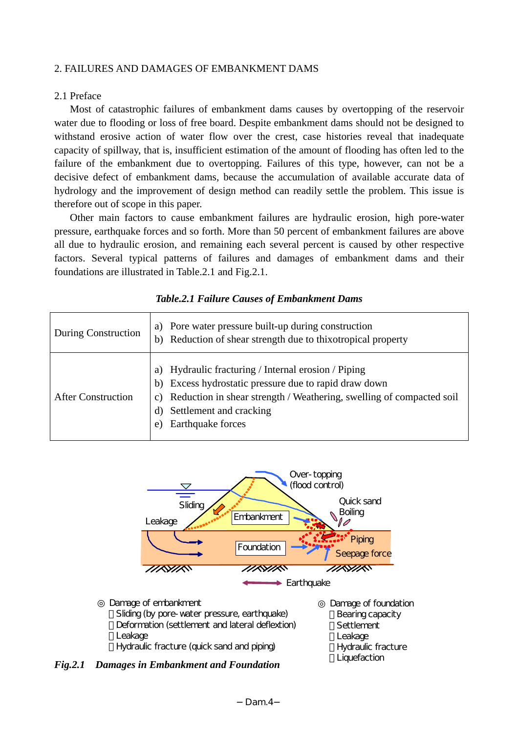# 2. FAILURES AND DAMAGES OF EMBANKMENT DAMS

# 2.1 Preface

Most of catastrophic failures of embankment dams causes by overtopping of the reservoir water due to flooding or loss of free board. Despite embankment dams should not be designed to withstand erosive action of water flow over the crest, case histories reveal that inadequate capacity of spillway, that is, insufficient estimation of the amount of flooding has often led to the failure of the embankment due to overtopping. Failures of this type, however, can not be a decisive defect of embankment dams, because the accumulation of available accurate data of hydrology and the improvement of design method can readily settle the problem. This issue is therefore out of scope in this paper.

Other main factors to cause embankment failures are hydraulic erosion, high pore-water pressure, earthquake forces and so forth. More than 50 percent of embankment failures are above all due to hydraulic erosion, and remaining each several percent is caused by other respective factors. Several typical patterns of failures and damages of embankment dams and their foundations are illustrated in Table.2.1 and Fig.2.1.

| <b>During Construction</b> | Pore water pressure built-up during construction<br>a)<br>Reduction of shear strength due to thixotropical property<br>b)                                                                                                                                    |
|----------------------------|--------------------------------------------------------------------------------------------------------------------------------------------------------------------------------------------------------------------------------------------------------------|
| <b>After Construction</b>  | Hydraulic fracturing / Internal erosion / Piping<br>a)<br>Excess hydrostatic pressure due to rapid draw down<br>b)<br>Reduction in shear strength / Weathering, swelling of compacted soil<br>C)<br>Settlement and cracking<br>d)<br>Earthquake forces<br>e) |

# *Table.2.1 Failure Causes of Embankment Dams*



*Fig.2.1 Damages in Embankment and Foundation* 

**Liquefaction**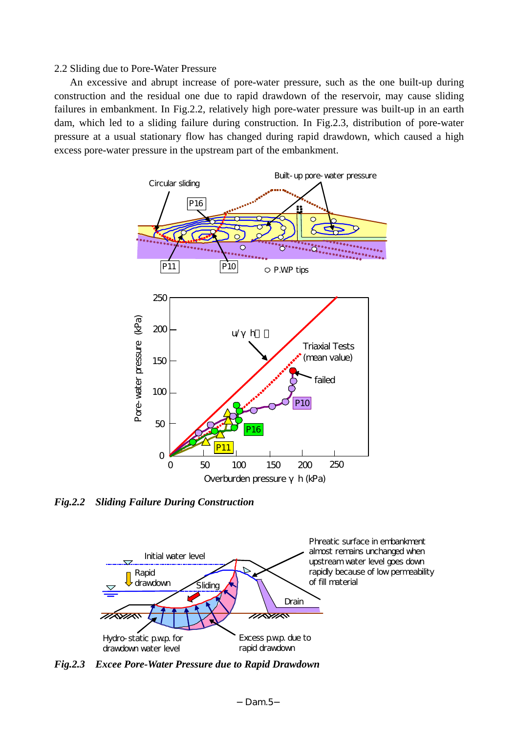# 2.2 Sliding due to Pore-Water Pressure

An excessive and abrupt increase of pore-water pressure, such as the one built-up during construction and the residual one due to rapid drawdown of the reservoir, may cause sliding failures in embankment. In Fig.2.2, relatively high pore-water pressure was built-up in an earth dam, which led to a sliding failure during construction. In Fig.2.3, distribution of pore-water pressure at a usual stationary flow has changed during rapid drawdown, which caused a high excess pore-water pressure in the upstream part of the embankment.



*Fig.2.2 Sliding Failure During Construction* 



*Fig.2.3 Excee Pore-Water Pressure due to Rapid Drawdown*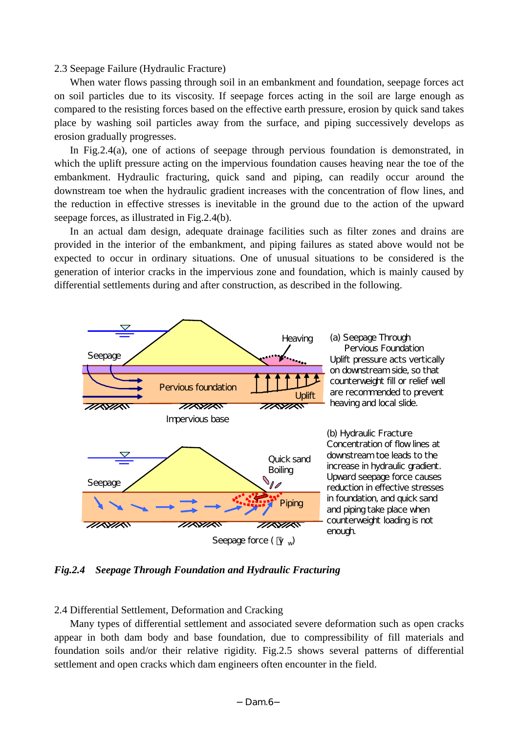## 2.3 Seepage Failure (Hydraulic Fracture)

When water flows passing through soil in an embankment and foundation, seepage forces act on soil particles due to its viscosity. If seepage forces acting in the soil are large enough as compared to the resisting forces based on the effective earth pressure, erosion by quick sand takes place by washing soil particles away from the surface, and piping successively develops as erosion gradually progresses.

In Fig.2.4(a), one of actions of seepage through pervious foundation is demonstrated, in which the uplift pressure acting on the impervious foundation causes heaving near the toe of the embankment. Hydraulic fracturing, quick sand and piping, can readily occur around the downstream toe when the hydraulic gradient increases with the concentration of flow lines, and the reduction in effective stresses is inevitable in the ground due to the action of the upward seepage forces, as illustrated in Fig.2.4(b).

In an actual dam design, adequate drainage facilities such as filter zones and drains are provided in the interior of the embankment, and piping failures as stated above would not be expected to occur in ordinary situations. One of unusual situations to be considered is the generation of interior cracks in the impervious zone and foundation, which is mainly caused by differential settlements during and after construction, as described in the following.



*Fig.2.4 Seepage Through Foundation and Hydraulic Fracturing* 

#### 2.4 Differential Settlement, Deformation and Cracking

Many types of differential settlement and associated severe deformation such as open cracks appear in both dam body and base foundation, due to compressibility of fill materials and foundation soils and/or their relative rigidity. Fig.2.5 shows several patterns of differential settlement and open cracks which dam engineers often encounter in the field.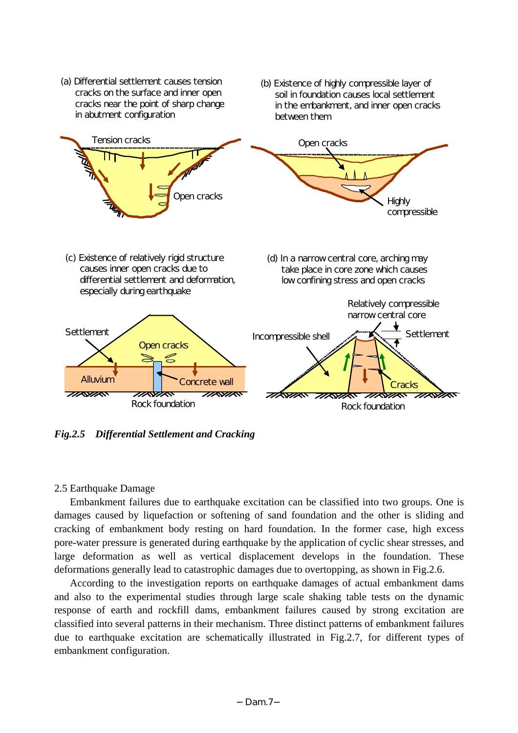

*Fig.2.5 Differential Settlement and Cracking* 

# 2.5 Earthquake Damage

 Embankment failures due to earthquake excitation can be classified into two groups. One is damages caused by liquefaction or softening of sand foundation and the other is sliding and cracking of embankment body resting on hard foundation. In the former case, high excess pore-water pressure is generated during earthquake by the application of cyclic shear stresses, and large deformation as well as vertical displacement develops in the foundation. These deformations generally lead to catastrophic damages due to overtopping, as shown in Fig.2.6.

According to the investigation reports on earthquake damages of actual embankment dams and also to the experimental studies through large scale shaking table tests on the dynamic response of earth and rockfill dams, embankment failures caused by strong excitation are classified into several patterns in their mechanism. Three distinct patterns of embankment failures due to earthquake excitation are schematically illustrated in Fig.2.7, for different types of embankment configuration.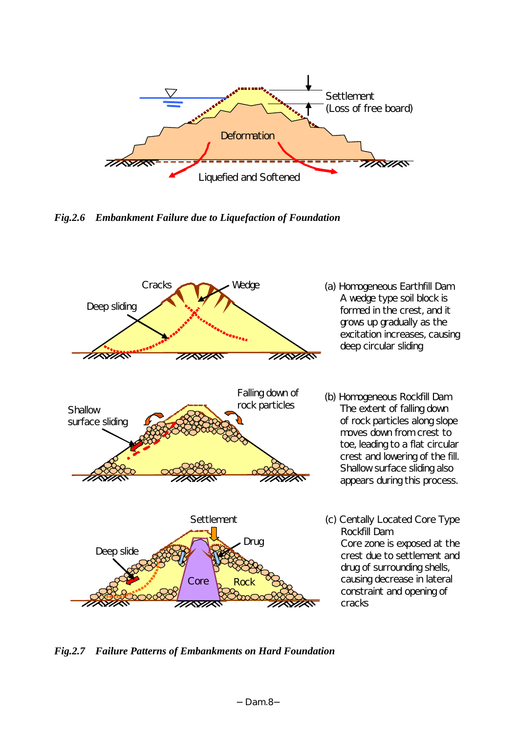

*Fig.2.6 Embankment Failure due to Liquefaction of Foundation* 



*Fig.2.7 Failure Patterns of Embankments on Hard Foundation*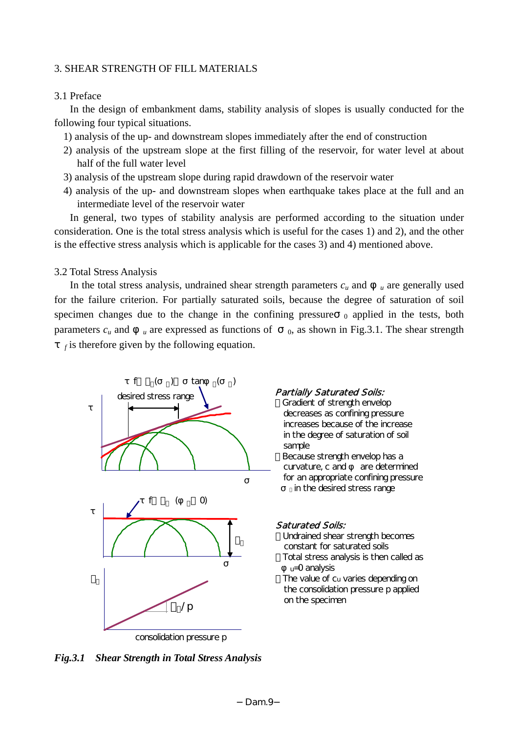# 3. SHEAR STRENGTH OF FILL MATERIALS

# 3.1 Preface

In the design of embankment dams, stability analysis of slopes is usually conducted for the following four typical situations.

1) analysis of the up- and downstream slopes immediately after the end of construction

- 2) analysis of the upstream slope at the first filling of the reservoir, for water level at about half of the full water level
- 3) analysis of the upstream slope during rapid drawdown of the reservoir water
- 4) analysis of the up- and downstream slopes when earthquake takes place at the full and an intermediate level of the reservoir water

In general, two types of stability analysis are performed according to the situation under consideration. One is the total stress analysis which is useful for the cases 1) and 2), and the other is the effective stress analysis which is applicable for the cases 3) and 4) mentioned above.

# 3.2 Total Stress Analysis

In the total stress analysis, undrained shear strength parameters  $c_u$  and  $u$  are generally used for the failure criterion. For partially saturated soils, because the degree of saturation of soil specimen changes due to the change in the confining pressure  $\theta$  applied in the tests, both parameters  $c_u$  and  $u$  are expressed as functions of  $v_0$ , as shown in Fig.3.1. The shear strength

 $f$  is therefore given by the following equation.



Gradient of strength envelop decreases as confining pressure increases because of the increase in the degree of saturation of soil sample Because strength envelop has a curvature, c and are determined for an appropriate confining pressure in the desired stress range

#### Saturated Soils:

Undrained shear strength becomes constant for saturated soils Total stress analysis is then called as u=0 analysis

The value of cu varies depending on the consolidation pressure p applied on the specimen

*Fig.3.1 Shear Strength in Total Stress Analysis*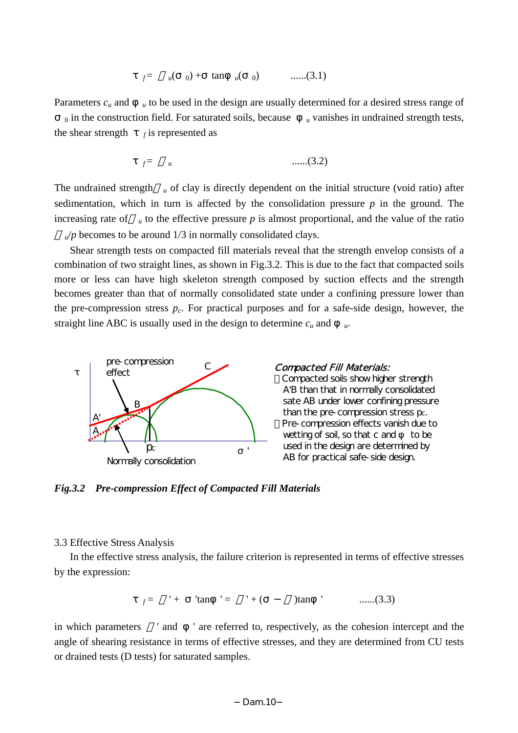$f = u(-0) + \tan u(-0)$  ......(3.1)

Parameters  $c_u$  and  $u$  to be used in the design are usually determined for a desired stress range of  $\alpha$  in the construction field. For saturated soils, because  $\alpha$  vanishes in undrained strength tests, the shear strength  $f$  is represented as

$$
f^= \qquad u \qquad \qquad \qquad \qquad \qquad \qquad \ldots \qquad \qquad (3.2)
$$

The undrained strength *u* of clay is directly dependent on the initial structure (void ratio) after sedimentation, which in turn is affected by the consolidation pressure *p* in the ground. The increasing rate of  $\mu$  to the effective pressure p is almost proportional, and the value of the ratio

 $\mu$ /*p* becomes to be around 1/3 in normally consolidated clays.

Shear strength tests on compacted fill materials reveal that the strength envelop consists of a combination of two straight lines, as shown in Fig.3.2. This is due to the fact that compacted soils more or less can have high skeleton strength composed by suction effects and the strength becomes greater than that of normally consolidated state under a confining pressure lower than the pre-compression stress  $p_c$ . For practical purposes and for a safe-side design, however, the straight line ABC is usually used in the design to determine  $c<sub>u</sub>$  and



# Compacted Fill Materials:

 Compacted soils show higher strength A'B than that in normally consolidated sate AB under lower confining pressure than the pre-compression stress pc. Pre-compression effects vanish due to wetting of soil, so that  $c$  and to be used in the design are determined by AB for practical safe-side design.

*Fig.3.2 Pre-compression Effect of Compacted Fill Materials* 

# 3.3 Effective Stress Analysis

In the effective stress analysis, the failure criterion is represented in terms of effective stresses by the expression:

$$
f =
$$
 '+ 'tan ' = ' + ( )tan ' .......(3.3)

in which parameters ' and ' are referred to, respectively, as the cohesion intercept and the angle of shearing resistance in terms of effective stresses, and they are determined from CU tests or drained tests (D tests) for saturated samples.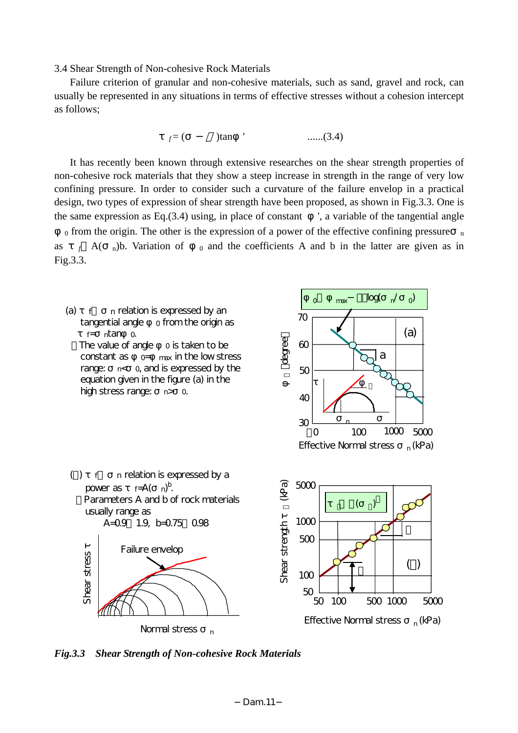3.4 Shear Strength of Non-cohesive Rock Materials

 Failure criterion of granular and non-cohesive materials, such as sand, gravel and rock, can usually be represented in any situations in terms of effective stresses without a cohesion intercept as follows;

$$
f = (
$$
)tan ' ......(3.4)

It has recently been known through extensive researches on the shear strength properties of non-cohesive rock materials that they show a steep increase in strength in the range of very low confining pressure. In order to consider such a curvature of the failure envelop in a practical design, two types of expression of shear strength have been proposed, as shown in Fig.3.3. One is the same expression as Eq. $(3.4)$  using, in place of constant  $\theta$ , a variable of the tangential angle

 $_0$  from the origin. The other is the expression of a power of the effective confining pressure  $_n$ as  $f(A)$  n)b. Variation of  $\theta$  and the coefficients A and b in the latter are given as in Fig.3.3.



*Fig.3.3 Shear Strength of Non-cohesive Rock Materials*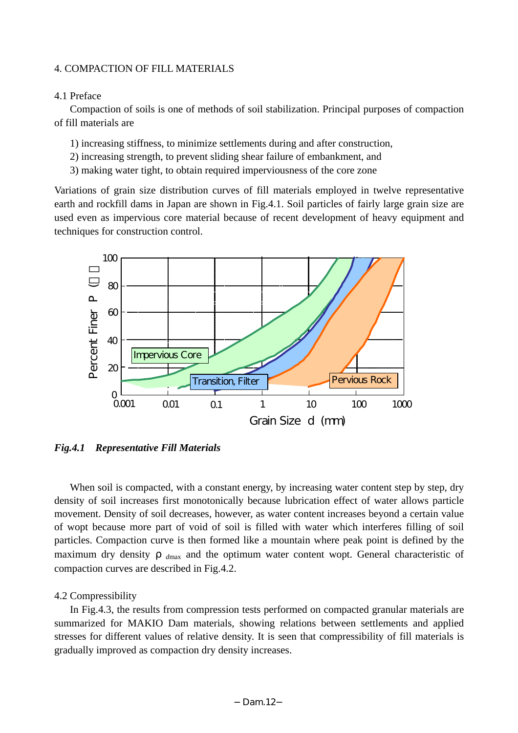# 4. COMPACTION OF FILL MATERIALS

# 4.1 Preface

Compaction of soils is one of methods of soil stabilization. Principal purposes of compaction of fill materials are

- 1) increasing stiffness, to minimize settlements during and after construction,
- 2) increasing strength, to prevent sliding shear failure of embankment, and
- 3) making water tight, to obtain required imperviousness of the core zone

Variations of grain size distribution curves of fill materials employed in twelve representative earth and rockfill dams in Japan are shown in Fig.4.1. Soil particles of fairly large grain size are used even as impervious core material because of recent development of heavy equipment and techniques for construction control.



*Fig.4.1 Representative Fill Materials* 

When soil is compacted, with a constant energy, by increasing water content step by step, dry density of soil increases first monotonically because lubrication effect of water allows particle movement. Density of soil decreases, however, as water content increases beyond a certain value of wopt because more part of void of soil is filled with water which interferes filling of soil particles. Compaction curve is then formed like a mountain where peak point is defined by the maximum dry density  $d_{\text{max}}$  and the optimum water content wopt. General characteristic of compaction curves are described in Fig.4.2.

# 4.2 Compressibility

In Fig.4.3, the results from compression tests performed on compacted granular materials are summarized for MAKIO Dam materials, showing relations between settlements and applied stresses for different values of relative density. It is seen that compressibility of fill materials is gradually improved as compaction dry density increases.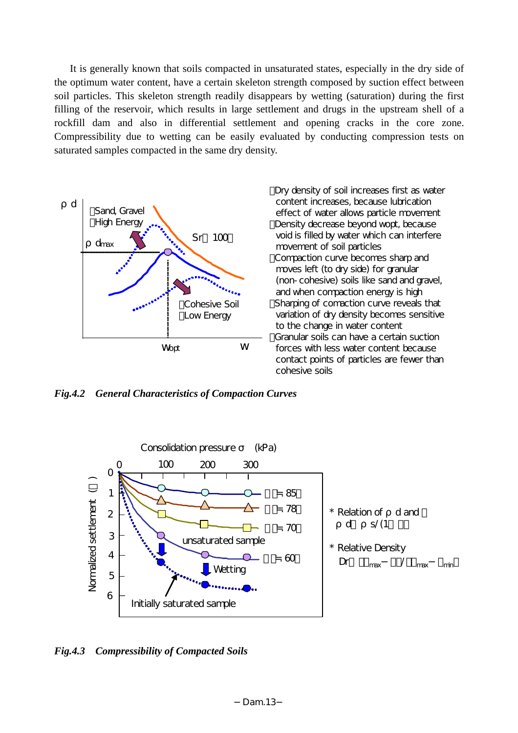It is generally known that soils compacted in unsaturated states, especially in the dry side of the optimum water content, have a certain skeleton strength composed by suction effect between soil particles. This skeleton strength readily disappears by wetting (saturation) during the first filling of the reservoir, which results in large settlement and drugs in the upstream shell of a rockfill dam and also in differential settlement and opening cracks in the core zone. Compressibility due to wetting can be easily evaluated by conducting compression tests on saturated samples compacted in the same dry density.



Dry density of soil increases first as water content increases, because lubrication effect of water allows particle movement Density decrease beyond wopt, because void is filled by water which can interfere movement of soil particles Compaction curve becomes sharp and moves left (to dry side) for granular (non-cohesive) soils like sand and gravel, and when compaction energy is high Sharping of comaction curve reveals that variation of dry density becomes sensitive to the change in water content Granular soils can have a certain suction forces with less water content because contact points of particles are fewer than cohesive soils

*Fig.4.2 General Characteristics of Compaction Curves* 



*Fig.4.3 Compressibility of Compacted Soils*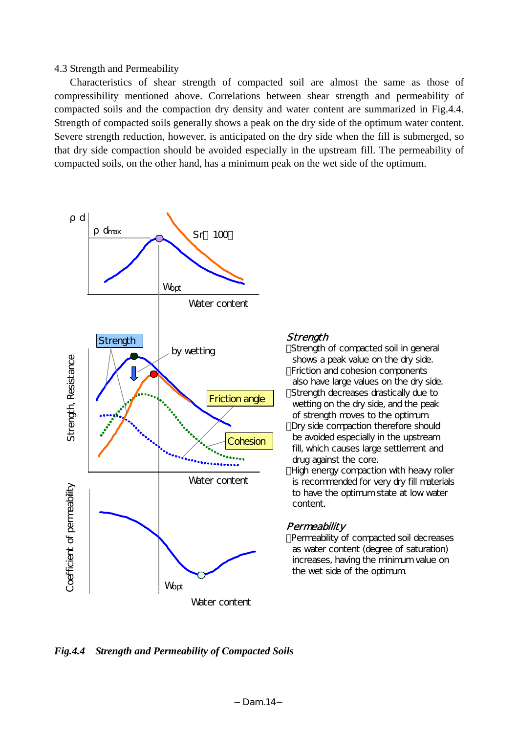4.3 Strength and Permeability

Characteristics of shear strength of compacted soil are almost the same as those of compressibility mentioned above. Correlations between shear strength and permeability of compacted soils and the compaction dry density and water content are summarized in Fig.4.4. Strength of compacted soils generally shows a peak on the dry side of the optimum water content. Severe strength reduction, however, is anticipated on the dry side when the fill is submerged, so that dry side compaction should be avoided especially in the upstream fill. The permeability of compacted soils, on the other hand, has a minimum peak on the wet side of the optimum.



# **Strength**

Strength of compacted soil in general shows a peak value on the dry side. Friction and cohesion components also have large values on the dry side. Strength decreases drastically due to wetting on the dry side, and the peak of strength moves to the optimum. Dry side compaction therefore should be avoided especially in the upstream fill, which causes large settlement and drug against the core.

High energy compaction with heavy roller is recommended for very dry fill materials to have the optimum state at low water content.

# **Permeability**

Permeability of compacted soil decreases as water content (degree of saturation) increases, having the minimum value on the wet side of the optimum.

*Fig.4.4 Strength and Permeability of Compacted Soils*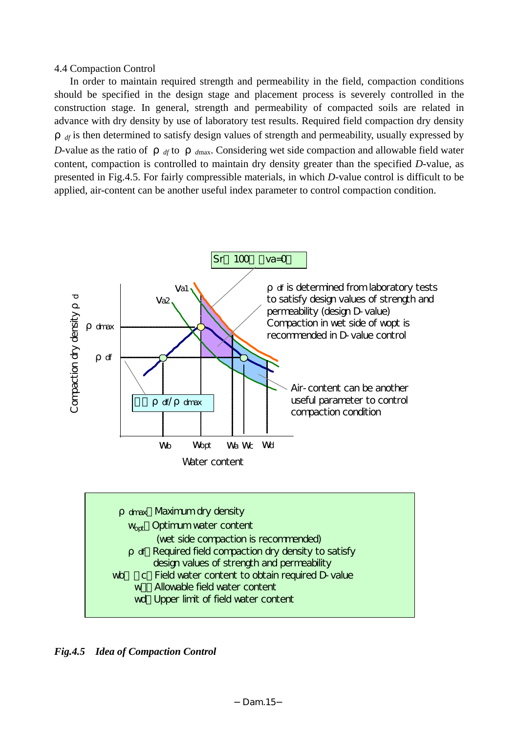4.4 Compaction Control

In order to maintain required strength and permeability in the field, compaction conditions should be specified in the design stage and placement process is severely controlled in the construction stage. In general, strength and permeability of compacted soils are related in advance with dry density by use of laboratory test results. Required field compaction dry density

*df* is then determined to satisfy design values of strength and permeability, usually expressed by *D*-value as the ratio of  $d$  *df* to  $d$  *dmax*. Considering wet side compaction and allowable field water content, compaction is controlled to maintain dry density greater than the specified *D*-value, as presented in Fig.4.5. For fairly compressible materials, in which *D*-value control is difficult to be applied, air-content can be another useful index parameter to control compaction condition.



*Fig.4.5 Idea of Compaction Control*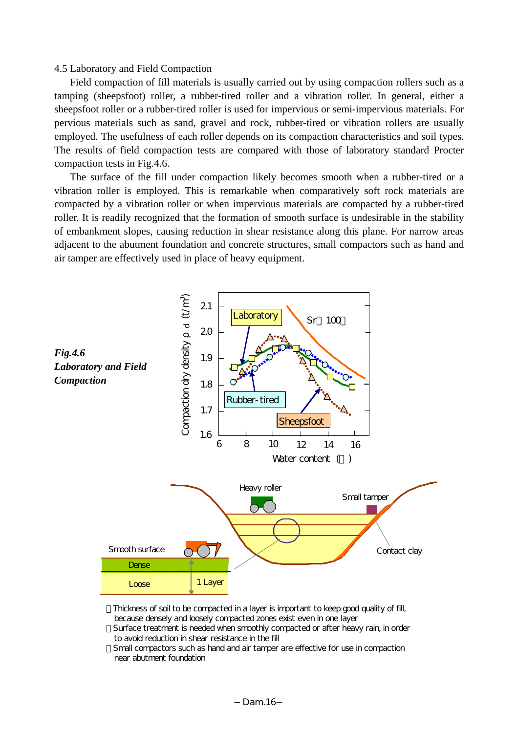# 4.5 Laboratory and Field Compaction

Field compaction of fill materials is usually carried out by using compaction rollers such as a tamping (sheepsfoot) roller, a rubber-tired roller and a vibration roller. In general, either a sheepsfoot roller or a rubber-tired roller is used for impervious or semi-impervious materials. For pervious materials such as sand, gravel and rock, rubber-tired or vibration rollers are usually employed. The usefulness of each roller depends on its compaction characteristics and soil types. The results of field compaction tests are compared with those of laboratory standard Procter compaction tests in Fig.4.6.

The surface of the fill under compaction likely becomes smooth when a rubber-tired or a vibration roller is employed. This is remarkable when comparatively soft rock materials are compacted by a vibration roller or when impervious materials are compacted by a rubber-tired roller. It is readily recognized that the formation of smooth surface is undesirable in the stability of embankment slopes, causing reduction in shear resistance along this plane. For narrow areas adjacent to the abutment foundation and concrete structures, small compactors such as hand and air tamper are effectively used in place of heavy equipment.



 Thickness of soil to be compacted in a layer is important to keep good quality of fill, because densely and loosely compacted zones exist even in one layer Surface treatment is needed when smoothly compacted or after heavy rain, in order to avoid reduction in shear resistance in the fill

Small compactors such as hand and air tamper are effective for use in compaction near abutment foundation